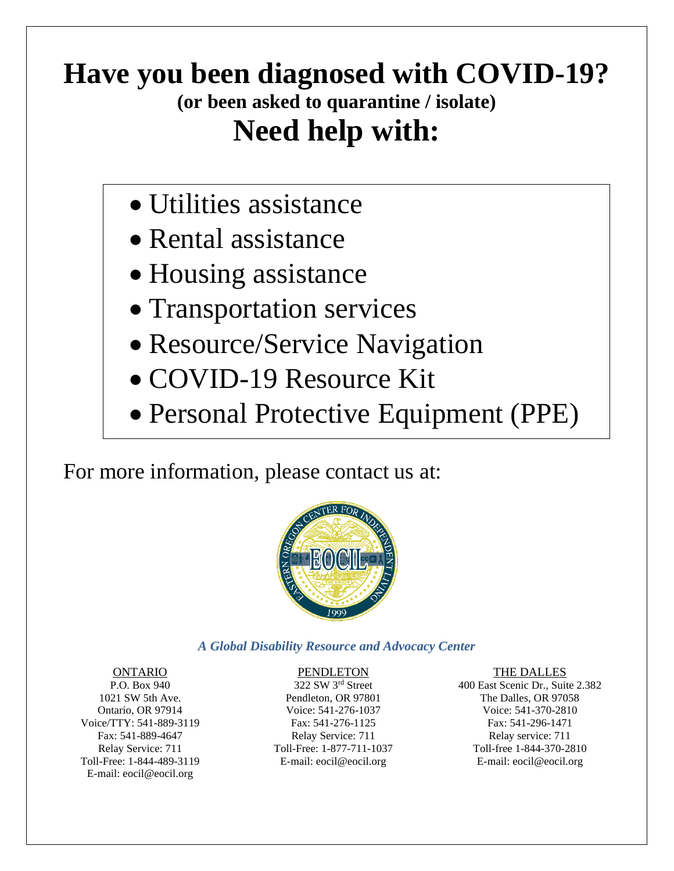# **Have you been diagnosed with COVID-19? (or been asked to quarantine / isolate) Need help with:**

- Utilities assistance
- Rental assistance
- Housing assistance
- Transportation services
- Resource/Service Navigation
- COVID-19 Resource Kit
- Personal Protective Equipment (PPE)

For more information, please contact us at:



## *A Global Disability Resource and Advocacy Center*

# ONTARIO

P.O. Box 940 1021 SW 5th Ave. Ontario, OR 97914 Voice/TTY: 541-889-3119 Fax: 541-889-4647 Relay Service: 711 Toll-Free: 1-844-489-3119 E-mail: eocil@eocil.org

### PENDLETON

322 SW 3rd Street Pendleton, OR 97801 Voice: 541-276-1037 Fax: 541-276-1125 Relay Service: 711 Toll-Free: 1-877-711-1037 E-mail: eocil@eocil.org

#### THE DALLES

400 East Scenic Dr., Suite 2.382 The Dalles, OR 97058 Voice: 541-370-2810 Fax: 541-296-1471 Relay service: 711 Toll-free 1-844-370-2810 E-mail: eocil@eocil.org